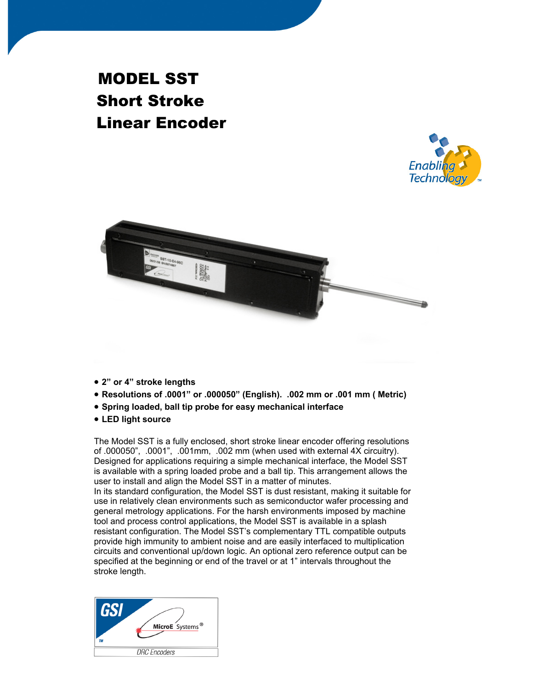# MODEL SST Short Stroke Linear Encoder





- **2" or 4" stroke lengths**
- **Resolutions of .0001" or .000050" (English). .002 mm or .001 mm ( Metric)**
- **Spring loaded, ball tip probe for easy mechanical interface**
- **LED light source**

The Model SST is a fully enclosed, short stroke linear encoder offering resolutions of .000050", .0001", .001mm, .002 mm (when used with external 4X circuitry). Designed for applications requiring a simple mechanical interface, the Model SST is available with a spring loaded probe and a ball tip. This arrangement allows the user to install and align the Model SST in a matter of minutes.

In its standard configuration, the Model SST is dust resistant, making it suitable for use in relatively clean environments such as semiconductor wafer processing and general metrology applications. For the harsh environments imposed by machine tool and process control applications, the Model SST is available in a splash resistant configuration. The Model SST's complementary TTL compatible outputs provide high immunity to ambient noise and are easily interfaced to multiplication circuits and conventional up/down logic. An optional zero reference output can be specified at the beginning or end of the travel or at 1" intervals throughout the stroke length.

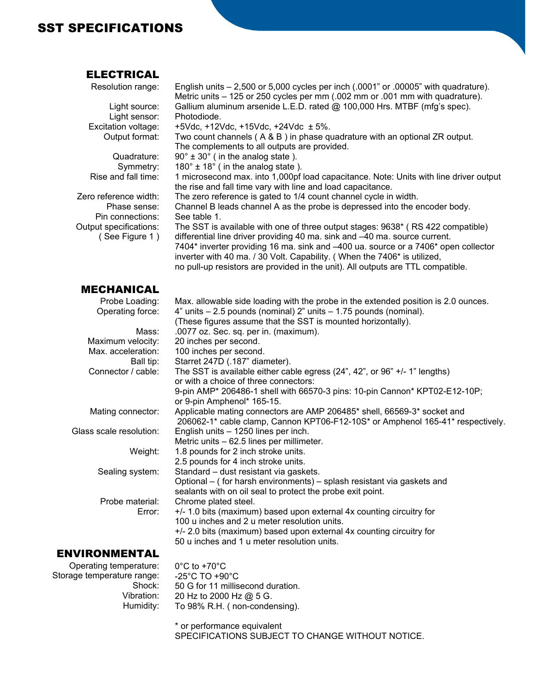### SST SPECIFICATIONS

#### ELECTRICAL

| Resolution range:       | English units $-2,500$ or 5,000 cycles per inch $(.0001"$ or $.00005"$ with quadrature).                      |
|-------------------------|---------------------------------------------------------------------------------------------------------------|
|                         | Metric units – 125 or 250 cycles per mm (.002 mm or .001 mm with quadrature).                                 |
| Light source:           | Gallium aluminum arsenide L.E.D. rated @ 100,000 Hrs. MTBF (mfg's spec).                                      |
| Light sensor:           | Photodiode.                                                                                                   |
| Excitation voltage:     | +5Vdc, +12Vdc, +15Vdc, +24Vdc $\pm$ 5%.                                                                       |
| Output format:          | Two count channels (A & B) in phase quadrature with an optional ZR output.                                    |
|                         | The complements to all outputs are provided.                                                                  |
| Quadrature:             | $90^\circ \pm 30^\circ$ (in the analog state).                                                                |
| Symmetry:               | $180^\circ \pm 18^\circ$ (in the analog state).                                                               |
| Rise and fall time:     | 1 microsecond max. into 1,000pf load capacitance. Note: Units with line driver output                         |
|                         | the rise and fall time vary with line and load capacitance.                                                   |
| Zero reference width:   | The zero reference is gated to 1/4 count channel cycle in width.                                              |
| Phase sense:            | Channel B leads channel A as the probe is depressed into the encoder body.                                    |
| Pin connections:        | See table 1.                                                                                                  |
| Output specifications:  | The SST is available with one of three output stages: 9638* (RS 422 compatible)                               |
| (See Figure 1)          | differential line driver providing 40 ma. sink and -40 ma. source current.                                    |
|                         | 7404* inverter providing 16 ma. sink and -400 ua. source or a 7406* open collector                            |
|                         | inverter with 40 ma. / 30 Volt. Capability. (When the 7406* is utilized,                                      |
|                         | no pull-up resistors are provided in the unit). All outputs are TTL compatible.                               |
|                         |                                                                                                               |
| <b>MECHANICAL</b>       |                                                                                                               |
| Probe Loading:          | Max. allowable side loading with the probe in the extended position is 2.0 ounces.                            |
| Operating force:        | 4" units - 2.5 pounds (nominal) 2" units - 1.75 pounds (nominal).                                             |
|                         | (These figures assume that the SST is mounted horizontally).                                                  |
| Mass:                   | .0077 oz. Sec. sq. per in. (maximum).                                                                         |
| Maximum velocity:       | 20 inches per second.                                                                                         |
| Max. acceleration:      | 100 inches per second.                                                                                        |
| Ball tip:               | Starret 247D (.187" diameter).                                                                                |
| Connector / cable:      | The SST is available either cable egress $(24^{\degree}, 42^{\degree}, 66^{\degree} + 14^{\degree})$ lengths) |
|                         | or with a choice of three connectors:                                                                         |
|                         | 9-pin AMP* 206486-1 shell with 66570-3 pins: 10-pin Cannon* KPT02-E12-10P;                                    |
|                         | or 9-pin Amphenol* 165-15.                                                                                    |
| Mating connector:       | Applicable mating connectors are AMP 206485* shell, 66569-3* socket and                                       |
|                         | 206062-1* cable clamp, Cannon KPT06-F12-10S* or Amphenol 165-41* respectively.                                |
| Glass scale resolution: | English units - 1250 lines per inch.                                                                          |
|                         | Metric units - 62.5 lines per millimeter.                                                                     |
| Weight:                 | 1.8 pounds for 2 inch stroke units.                                                                           |
|                         | 2.5 pounds for 4 inch stroke units.                                                                           |
| Sealing system:         | Standard - dust resistant via gaskets.                                                                        |
|                         | Optional – (for harsh environments) – splash resistant via gaskets and                                        |
|                         | sealants with on oil seal to protect the probe exit point.                                                    |
| Probe material:         | Chrome plated steel.                                                                                          |
| Error:                  | +/- 1.0 bits (maximum) based upon external 4x counting circuitry for                                          |
|                         | 100 u inches and 2 u meter resolution units.                                                                  |
|                         | +/- 2.0 bits (maximum) based upon external 4x counting circuitry for                                          |
|                         | 50 u inches and 1 u meter resolution units.                                                                   |
|                         |                                                                                                               |

#### ENVIRONMENTAL

Operating temperature: Storage temperature range: -25°C TO +90°C Shock: Vibration: Humidity:

0°C to +70°C 50 G for 11 millisecond duration. 20 Hz to 2000 Hz @ 5 G. To 98% R.H. ( non-condensing).

\* or performance equivalent SPECIFICATIONS SUBJECT TO CHANGE WITHOUT NOTICE.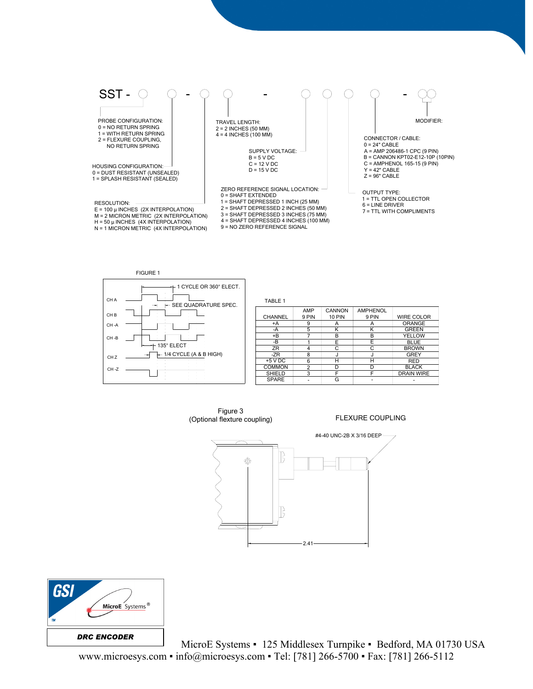



Figure 3 (Optional flexture coupling)

FLEXURE COUPLING





MicroE Systems • 125 Middlesex Turnpike • Bedford, MA 01730 USA www.microesys.com ▪ info@microesys.com ▪ Tel: [781] 266-5700 ▪ Fax: [781] 266-5112